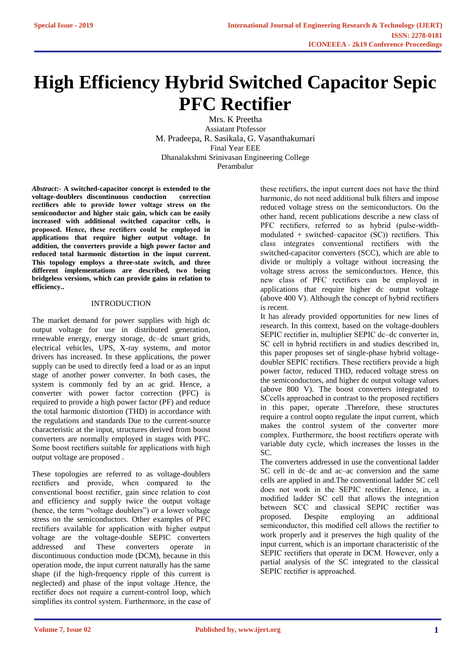# **High Efficiency Hybrid Switched Capacitor Sepic PFC Rectifier**

Mrs. K Preetha Assiatant Ptofessor M. Pradeepa, R. Sasikala, G. Vasanthakumari Final Year EEE Dhanalakshmi Srinivasan Engineering College Perambalur

*Abstract***:- A switched-capacitor concept is extended to the voltage-doublers discontinuous conduction correction rectifiers able to provide lower voltage stress on the semiconductor and higher staic gain, which can be easily increased with additional switched capacitor cells, is proposed. Hence, these rectifiers could be employed in applications that require higher output voltage. In addition, the converters provide a high power factor and reduced total harmonic distortion in the input current. This topology employs a three-state switch, and three different implementations are described, two being bridgeless versions, which can provide gains in relation to efficiency..** 

# INTRODUCTION

The market demand for power supplies with high dc output voltage for use in distributed generation, renewable energy, energy storage, dc–dc smart grids, electrical vehicles, UPS, X-ray systems, and motor drivers has increased. In these applications, the power supply can be used to directly feed a load or as an input stage of another power converter. In both cases, the system is commonly fed by an ac grid. Hence, a converter with power factor correction (PFC) is required to provide a high power factor (PF) and reduce the total harmonic distortion (THD) in accordance with the regulations and standards Due to the current-source characteristic at the input, structures derived from boost converters are normally employed in stages with PFC. Some boost rectifiers suitable for applications with high output voltage are proposed .

These topologies are referred to as voltage-doublers rectifiers and provide, when compared to the conventional boost rectifier, gain since relation to cost and efficiency and supply twice the output voltage (hence, the term "voltage doublers") or a lower voltage stress on the semiconductors. Other examples of PFC rectifiers available for application with higher output voltage are the voltage-double SEPIC converters addressed and These converters operate in discontinuous conduction mode (DCM), because in this operation mode, the input current naturally has the same shape (if the high-frequency ripple of this current is neglected) and phase of the input voltage .Hence, the rectifier does not require a current-control loop, which simplifies its control system. Furthermore, in the case of these rectifiers, the input current does not have the third harmonic, do not need additional bulk filters and impose reduced voltage stress on the semiconductors. On the other hand, recent publications describe a new class of PFC rectifiers, referred to as hybrid (pulse-widthmodulated + switched–capacitor  $(SC)$ ) rectifiers. This class integrates conventional rectifiers with the switched-capacitor converters (SCC), which are able to divide or multiply a voltage without increasing the voltage stress across the semiconductors. Hence, this new class of PFC rectifiers can be employed in applications that require higher dc output voltage (above 400 V). Although the concept of hybrid rectifiers is recent.

It has already provided opportunities for new lines of research. In this context, based on the voltage-doublers SEPIC rectifier in, multiplier SEPIC dc–dc converter in, SC cell in hybrid rectifiers in and studies described in, this paper proposes set of single-phase hybrid voltagedoubler SEPIC rectifiers. These rectifiers provide a high power factor, reduced THD, reduced voltage stress on the semiconductors, and higher dc output voltage values (above 800 V). The boost converters integrated to SCcells approached in contrast to the proposed rectifiers in this paper, operate .Therefore, these structures require a control oopto regulate the input current, which makes the control system of the converter more complex. Furthermore, the boost rectifiers operate with variable duty cycle, which increases the losses in the SC.

The converters addressed in use the conventional ladder SC cell in dc–dc and ac–ac conversion and the same cells are applied in and.The conventional ladder SC cell does not work in the SEPIC rectifier. Hence, in, a modified ladder SC cell that allows the integration between SCC and classical SEPIC rectifier was proposed. Despite employing an additional semiconductor, this modified cell allows the rectifier to work properly and it preserves the high quality of the input current, which is an important characteristic of the SEPIC rectifiers that operate in DCM. However, only a partial analysis of the SC integrated to the classical SEPIC rectifier is approached.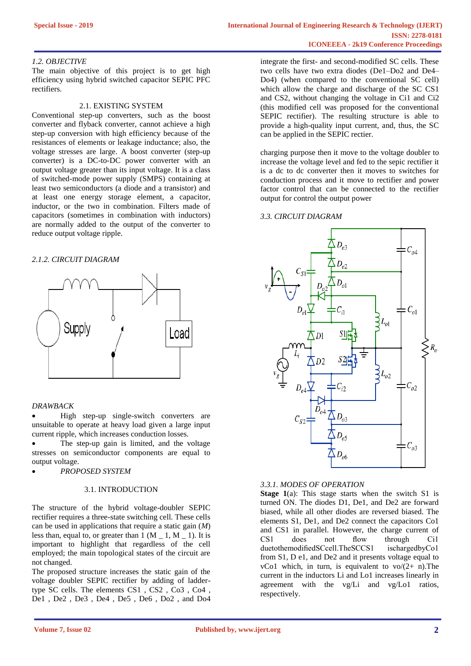# *1.2. OBJECTIVE*

The main objective of this project is to get high efficiency using hybrid switched capacitor SEPIC PFC rectifiers.

#### 2.1. EXISTING SYSTEM

Conventional step-up converters, such as the boost converter and flyback converter, cannot achieve a high step-up conversion with high efficiency because of the resistances of elements or leakage inductance; also, the voltage stresses are large. A boost converter (step-up converter) is a DC-to-DC power converter with an output voltage greater than its input voltage. It is a class of switched-mode power supply (SMPS) containing at least two semiconductors (a diode and a transistor) and at least one energy storage element, a capacitor, inductor, or the two in combination. Filters made of capacitors (sometimes in combination with inductors) are normally added to the output of the converter to reduce output voltage ripple.

#### *2.1.2. CIRCUIT DIAGRAM*



### *DRAWBACK*

• High step-up single-switch converters are unsuitable to operate at heavy load given a large input current ripple, which increases conduction losses.

The step-up gain is limited, and the voltage stresses on semiconductor components are equal to output voltage.

• *PROPOSED SYSTEM*

# 3.1. INTRODUCTION

The structure of the hybrid voltage-doubler SEPIC rectifier requires a three-state switching cell. These cells can be used in applications that require a static gain (*M*) less than, equal to, or greater than  $1(M \ 1, M \ 1)$ . It is important to highlight that regardless of the cell employed; the main topological states of the circuit are not changed.

The proposed structure increases the static gain of the voltage doubler SEPIC rectifier by adding of laddertype SC cells. The elements CS1 , CS2 , Co3 , Co4 , De1 , De2 , De3 , De4 , De5 , De6 , Do2 , and Do4 integrate the first- and second-modified SC cells. These two cells have two extra diodes (De1–Do2 and De4– Do4) (when compared to the conventional SC cell) which allow the charge and discharge of the SC CS1 and CS2, without changing the voltage in Ci1 and Ci2 (this modified cell was proposed for the conventional SEPIC rectifier). The resulting structure is able to provide a high-quality input current, and, thus, the SC can be applied in the SEPIC rectier.

charging purpose then it move to the voltage doubler to increase the voltage level and fed to the sepic rectifier it is a dc to dc converter then it moves to switches for conduction process and it move to rectifier and power factor control that can be connected to the rectifier output for control the output power

#### *3.3. CIRCUIT DIAGRAM*



# *3.3.1. MODES OF OPERATION*

**Stage 1**(a): This stage starts when the switch S1 is turned ON. The diodes D1, De1, and De2 are forward biased, while all other diodes are reversed biased. The elements S1, De1, and De2 connect the capacitors Co1 and CS1 in parallel. However, the charge current of CS1 does not flow through Ci1 duetothemodifiedSCcell.TheSCCS1 ischargedbyCo1 from S1, D e1, and De2 and it presents voltage equal to vCo1 which, in turn, is equivalent to  $\text{vo}/(2+\text{n})$ . The current in the inductors Li and Lo1 increases linearly in agreement with the vg/Li and vg/Lo1 ratios, respectively.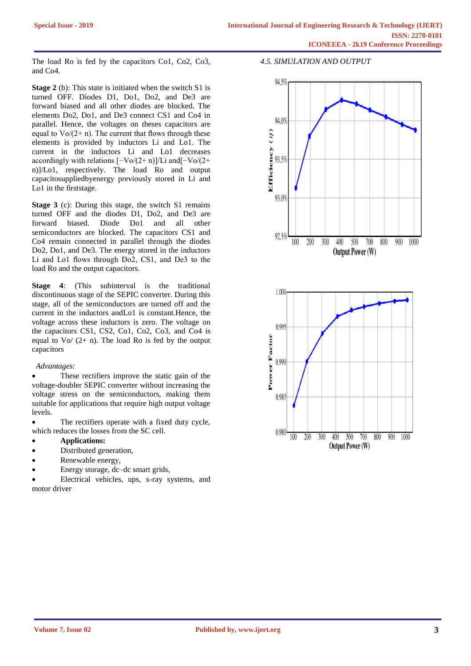The load Ro is fed by the capacitors Co1, Co2, Co3, and Co4.

**Stage 2** (b): This state is initiated when the switch S1 is turned OFF. Diodes D1, Do1, Do2, and De3 are forward biased and all other diodes are blocked. The elements Do2, Do1, and De3 connect CS1 and Co4 in parallel. Hence, the voltages on theses capacitors are equal to  $\sqrt{O(2+n)}$ . The current that flows through these elements is provided by inductors Li and Lo1. The current in the inductors Li and Lo1 decreases accordingly with relations  $[-\text{Vo}/(2+\text{n})]/\text{Li}$  and $[-\text{Vo}/(2+\text{n})]$ n)]/Lo1, respectively. The load Ro and output capacitosuppliedbyenergy previously stored in Li and Lo1 in the firststage.

**Stage 3** (c): During this stage, the switch S1 remains turned OFF and the diodes D1, Do2, and De3 are forward biased. Diode Do1 and all other semiconductors are blocked. The capacitors CS1 and Co4 remain connected in parallel through the diodes Do2, Do1, and De3. The energy stored in the inductors Li and Lo1 flows through Do2, CS1, and De3 to the load Ro and the output capacitors.

**Stage 4**: (This subinterval is the traditional discontinuous stage of the SEPIC converter. During this stage, all of the semiconductors are turned off and the current in the inductors andLo1 is constant.Hence, the voltage across these inductors is zero. The voltage on the capacitors CS1, CS2, Co1, Co2, Co3, and Co4 is equal to  $\sqrt{Q+ n}$ . The load Ro is fed by the output capacitors

# *Advantages:*

These rectifiers improve the static gain of the voltage-doubler SEPIC converter without increasing the voltage stress on the semiconductors, making them suitable for applications that require high output voltage levels.

• The rectifiers operate with a fixed duty cycle, which reduces the losses from the SC cell.

- **Applications:**
- Distributed generation,
- Renewable energy,
- Energy storage, dc–dc smart grids,

• Electrical vehicles, ups, x-ray systems, and motor driver

# *4.5. SIMULATION AND OUTPUT*

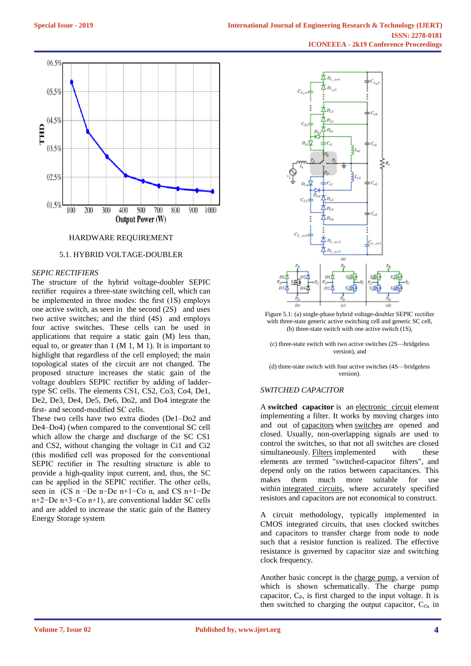

# HARDWARE REQUIREMENT

#### 5.1. HYBRID VOLTAGE-DOUBLER

## *SEPIC RECTIFIERS*

The structure of the hybrid voltage-doubler SEPIC rectifier requires a three-state switching cell, which can be implemented in three modes: the first (1S) employs one active switch, as seen in the second (2S) and uses two active switches; and the third (4S) and employs four active switches. These cells can be used in applications that require a static gain (M) less than, equal to, or greater than  $1$  (M 1, M 1). It is important to highlight that regardless of the cell employed; the main topological states of the circuit are not changed. The proposed structure increases the static gain of the voltage doublers SEPIC rectifier by adding of laddertype SC cells. The elements CS1, CS2, Co3, Co4, De1, De2, De3, De4, De5, De6, Do2, and Do4 integrate the first- and second-modified SC cells.

These two cells have two extra diodes (De1–Do2 and De4–Do4) (when compared to the conventional SC cell which allow the charge and discharge of the SC CS1 and CS2, without changing the voltage in Ci1 and Ci2 (this modified cell was proposed for the conventional SEPIC rectifier in The resulting structure is able to provide a high-quality input current, and, thus, the SC can be applied in the SEPIC rectifier. The other cells, seen in (CS n −De n−De n+1−Co n, and CS n+1−De n+2−De n+3−Co n+1), are conventional ladder SC cells and are added to increase the static gain of the Battery Energy Storage system



Figure 5.1: (a) single-phase hybrid voltage-doubler SEPIC rectifier with three-state generic active switching cell and generic SC cell, (b) three-state switch with one active switch (1S),

(c) three-state switch with two active switches (2S—bridgeless version), and

(d) three-state switch with four active switches (4S—bridgeless version).

# *SWITCHED CAPACITOR*

A **switched capacitor** is an [electronic circuit](https://en.wikipedia.org/wiki/Electronic_circuit) element implementing a filter. It works by moving charges into and out of [capacitors](https://en.wikipedia.org/wiki/Capacitor) when [switches](https://en.wikipedia.org/wiki/Switch) are opened and closed. Usually, non-overlapping signals are used to control the switches, so that not all switches are closed simultaneously. [Filters](https://en.wikipedia.org/wiki/Electronic_filter) implemented with these elements are termed "switched-capacitor filters", and depend only on the ratios between capacitances. This makes them much more suitable for use within [integrated circuits,](https://en.wikipedia.org/wiki/Integrated_circuit) where accurately specified resistors and capacitors are not economical to construct.

A circuit methodology, typically implemented in CMOS integrated circuits, that uses clocked switches and capacitors to transfer charge from node to node such that a resistor function is realized. The effective resistance is governed by capacitor size and switching clock frequency.

Another basic concept is the [charge pump,](https://en.wikipedia.org/wiki/Charge_pump) a version of which is shown schematically. The charge pump capacitor,  $C_{P}$ , is first charged to the input voltage. It is then switched to charging the output capacitor,  $C_0$ , in